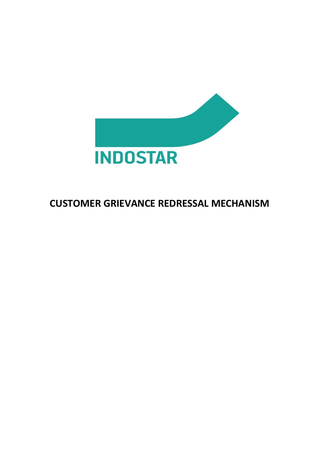

# **CUSTOMER GRIEVANCE REDRESSAL MECHANISM**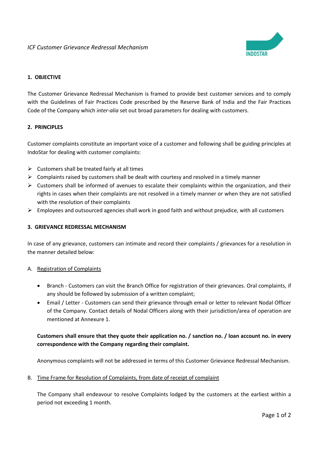

# **1. OBJECTIVE**

The Customer Grievance Redressal Mechanism is framed to provide best customer services and to comply with the Guidelines of Fair Practices Code prescribed by the Reserve Bank of India and the Fair Practices Code of the Company which *inter-alia* set out broad parameters for dealing with customers.

# **2. PRINCIPLES**

Customer complaints constitute an important voice of a customer and following shall be guiding principles at IndoStar for dealing with customer complaints:

- $\triangleright$  Customers shall be treated fairly at all times
- $\triangleright$  Complaints raised by customers shall be dealt with courtesy and resolved in a timely manner
- $\triangleright$  Customers shall be informed of avenues to escalate their complaints within the organization, and their rights in cases when their complaints are not resolved in a timely manner or when they are not satisfied with the resolution of their complaints
- $\triangleright$  Employees and outsourced agencies shall work in good faith and without prejudice, with all customers

### **3. GRIEVANCE REDRESSAL MECHANISM**

In case of any grievance, customers can intimate and record their complaints / grievances for a resolution in the manner detailed below:

#### A. Registration of Complaints

- Branch Customers can visit the Branch Office for registration of their grievances. Oral complaints, if any should be followed by submission of a written complaint;
- Email / Letter Customers can send their grievance through email or letter to relevant Nodal Officer of the Company. Contact details of Nodal Officers along with their jurisdiction/area of operation are mentioned at Annexure 1.

# **Customers shall ensure that they quote their application no. / sanction no. / loan account no. in every correspondence with the Company regarding their complaint.**

Anonymous complaints will not be addressed in terms of this Customer Grievance Redressal Mechanism.

B. Time Frame for Resolution of Complaints, from date of receipt of complaint

The Company shall endeavour to resolve Complaints lodged by the customers at the earliest within a period not exceeding 1 month.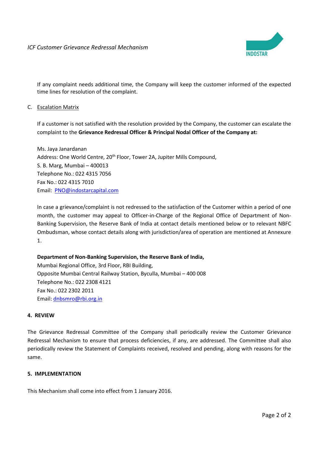

If any complaint needs additional time, the Company will keep the customer informed of the expected time lines for resolution of the complaint.

## C. Escalation Matrix

If a customer is not satisfied with the resolution provided by the Company, the customer can escalate the complaint to the **Grievance Redressal Officer & Principal Nodal Officer of the Company at:**

Ms. Jaya Janardanan Address: One World Centre, 20<sup>th</sup> Floor, Tower 2A, Jupiter Mills Compound, S. B. Marg, Mumbai – 400013 Telephone No.: 022 4315 7056 Fax No.: 022 4315 7010 Email: [PNO@indostarcapital.com](mailto:PNO@indostarcapital.com)

In case a grievance/complaint is not redressed to the satisfaction of the Customer within a period of one month, the customer may appeal to Officer-in-Charge of the Regional Office of Department of Non-Banking Supervision, the Reserve Bank of India at contact details mentioned below or to relevant NBFC Ombudsman, whose contact details along with jurisdiction/area of operation are mentioned at Annexure 1.

# **Department of Non-Banking Supervision, the Reserve Bank of India,**

Mumbai Regional Office, 3rd Floor, RBI Building, Opposite Mumbai Central Railway Station, Byculla, Mumbai – 400 008 Telephone No.: 022 2308 4121 Fax No.: 022 2302 2011 Email: [dnbsmro@rbi.org.in](mailto:dnbsmro@rbi.org.in)

#### **4. REVIEW**

The Grievance Redressal Committee of the Company shall periodically review the Customer Grievance Redressal Mechanism to ensure that process deficiencies, if any, are addressed. The Committee shall also periodically review the Statement of Complaints received, resolved and pending, along with reasons for the same.

#### **5. IMPLEMENTATION**

This Mechanism shall come into effect from 1 January 2016.